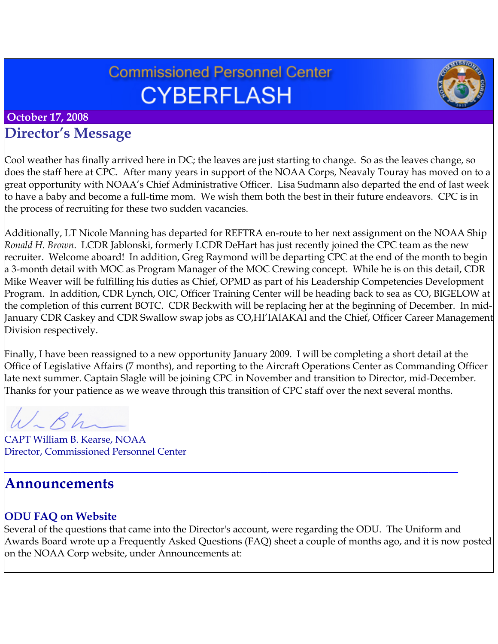# **Commissioned Personnel Center CYBERFLASH**



#### **October 17, 2008**

### **Director's Message**

Cool weather has finally arrived here in DC; the leaves are just starting to change. So as the leaves change, so does the staff here at CPC. After many years in support of the NOAA Corps, Neavaly Touray has moved on to a great opportunity with NOAA's Chief Administrative Officer. Lisa Sudmann also departed the end of last week to have a baby and become a full-time mom. We wish them both the best in their future endeavors. CPC is in the process of recruiting for these two sudden vacancies.

Additionally, LT Nicole Manning has departed for REFTRA en-route to her next assignment on the NOAA Ship *Ronald H. Brown*. LCDR Jablonski, formerly LCDR DeHart has just recently joined the CPC team as the new recruiter. Welcome aboard! In addition, Greg Raymond will be departing CPC at the end of the month to begin a 3-month detail with MOC as Program Manager of the MOC Crewing concept. While he is on this detail, CDR Mike Weaver will be fulfilling his duties as Chief, OPMD as part of his Leadership Competencies Development Program. In addition, CDR Lynch, OIC, Officer Training Center will be heading back to sea as CO, BIGELOW at the completion of this current BOTC. CDR Beckwith will be replacing her at the beginning of December. In mid-January CDR Caskey and CDR Swallow swap jobs as CO,HI'IAlAKAI and the Chief, Officer Career Management Division respectively.

Finally, I have been reassigned to a new opportunity January 2009. I will be completing a short detail at the Office of Legislative Affairs (7 months), and reporting to the Aircraft Operations Center as Commanding Officer late next summer. Captain Slagle will be joining CPC in November and transition to Director, mid-December. Thanks for your patience as we weave through this transition of CPC staff over the next several months.

 $\sim$   $\beta h$ 

CAPT William B. Kearse, NOAA Director, Commissioned Personnel Center

### **Announcements**

#### **ODU FAQ on Website**

Several of the questions that came into the Director's account, were regarding the ODU. The Uniform and Awards Board wrote up a Frequently Asked Questions (FAQ) sheet a couple of months ago, and it is now posted on the NOAA Corp website, under Announcements at:

**\_\_\_\_\_\_\_\_\_\_\_\_\_\_\_\_\_\_\_\_\_\_\_\_\_\_\_\_\_\_\_\_\_\_\_\_\_\_\_\_\_\_\_\_\_\_\_\_\_\_\_\_\_\_\_\_\_\_\_\_\_\_**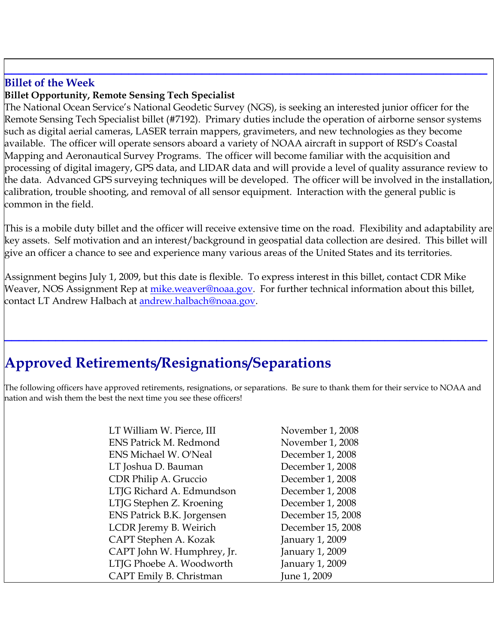#### **Billet of the Week**

#### **Billet Opportunity, Remote Sensing Tech Specialist**

The National Ocean Service's National Geodetic Survey (NGS), is seeking an interested junior officer for the Remote Sensing Tech Specialist billet (#7192). Primary duties include the operation of airborne sensor systems such as digital aerial cameras, LASER terrain mappers, gravimeters, and new technologies as they become available. The officer will operate sensors aboard a variety of NOAA aircraft in support of RSD's Coastal Mapping and Aeronautical Survey Programs. The officer will become familiar with the acquisition and processing of digital imagery, GPS data, and LIDAR data and will provide a level of quality assurance review to the data. Advanced GPS surveying techniques will be developed. The officer will be involved in the installation, calibration, trouble shooting, and removal of all sensor equipment. Interaction with the general public is common in the field.

**\_\_\_\_\_\_\_\_\_\_\_\_\_\_\_\_\_\_\_\_\_\_\_\_\_\_\_\_\_\_\_\_\_\_\_\_\_\_\_\_\_\_\_\_\_\_\_\_\_\_\_\_\_\_\_\_\_\_\_\_\_\_\_\_\_\_**

This is a mobile duty billet and the officer will receive extensive time on the road. Flexibility and adaptability are key assets. Self motivation and an interest/background in geospatial data collection are desired. This billet will give an officer a chance to see and experience many various areas of the United States and its territories.

Assignment begins July 1, 2009, but this date is flexible. To express interest in this billet, contact CDR Mike Weaver, NOS Assignment Rep at <u>mike.weaver@noaa.gov</u>. For further technical information about this billet, contact LT Andrew Halbach at [andrew.halbach@noaa.gov](mailto:andrew.halbach@noaa.gov).

# **Approved Retirements/Resignations/Separations**

The following officers have approved retirements, resignations, or separations. Be sure to thank them for their service to NOAA and nation and wish them the best the next time you see these officers!

**\_\_\_\_\_\_\_\_\_\_\_\_\_\_\_\_\_\_\_\_\_\_\_\_\_\_\_\_\_\_\_\_\_\_\_\_\_\_\_\_\_\_\_\_\_\_\_\_\_\_\_\_\_\_\_\_\_\_\_\_\_\_\_\_\_\_**

| LT William W. Pierce, III     | November 1, 2008  |
|-------------------------------|-------------------|
| <b>ENS Patrick M. Redmond</b> | November 1, 2008  |
| <b>ENS Michael W. O'Neal</b>  | December 1, 2008  |
| LT Joshua D. Bauman           | December 1, 2008  |
| CDR Philip A. Gruccio         | December 1, 2008  |
| LTJG Richard A. Edmundson     | December 1, 2008  |
| LTJG Stephen Z. Kroening      | December 1, 2008  |
| ENS Patrick B.K. Jorgensen    | December 15, 2008 |
| LCDR Jeremy B. Weirich        | December 15, 2008 |
| CAPT Stephen A. Kozak         | January 1, 2009   |
| CAPT John W. Humphrey, Jr.    | January 1, 2009   |
| LTJG Phoebe A. Woodworth      | January 1, 2009   |
| CAPT Emily B. Christman       | June 1, 2009      |